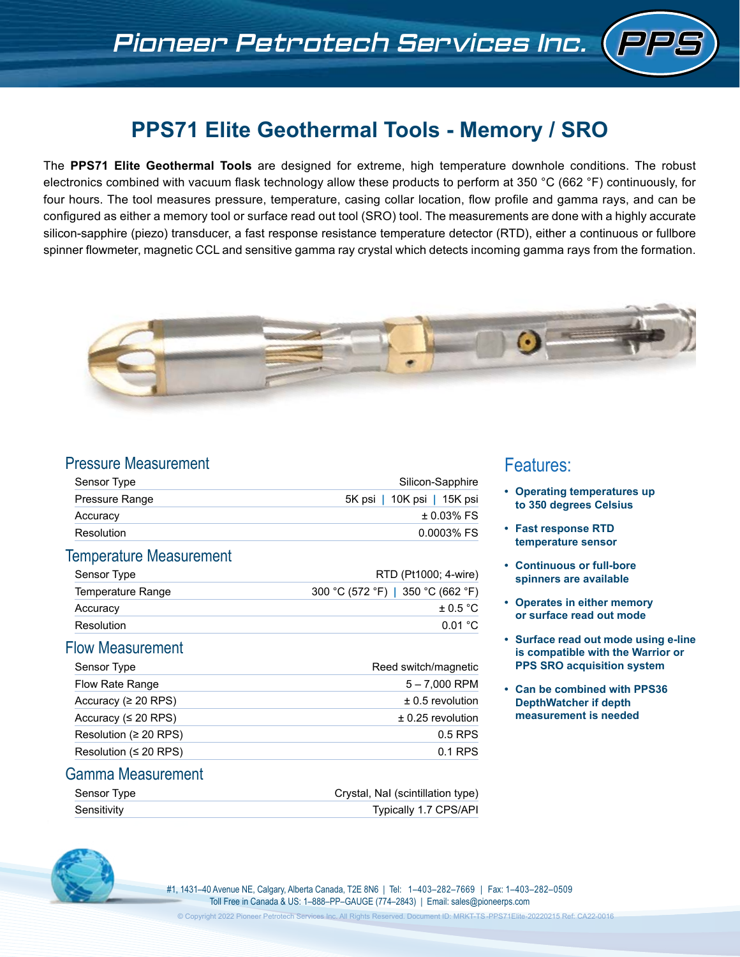# **PPS71 Elite Geothermal Tools - Memory / SRO**

The **PPS71 Elite Geothermal Tools** are designed for extreme, high temperature downhole conditions. The robust electronics combined with vacuum flask technology allow these products to perform at 350 °C (662 °F) continuously, for four hours. The tool measures pressure, temperature, casing collar location, flow profile and gamma rays, and can be configured as either a memory tool or surface read out tool (SRO) tool. The measurements are done with a highly accurate silicon-sapphire (piezo) transducer, a fast response resistance temperature detector (RTD), either a continuous or fullbore spinner flowmeter, magnetic CCL and sensitive gamma ray crystal which detects incoming gamma rays from the formation.



### Pressure Measurement

| Sensor Type           | Silicon-Sapphire           |  |
|-----------------------|----------------------------|--|
| <b>Pressure Range</b> | 5K psi   10K psi   15K psi |  |
| Accuracy              | $\pm$ 0.03% FS             |  |
| Resolution            | 0.0003% FS                 |  |

#### Temperature Measurement

| Sensor Type       | RTD (Pt1000; 4-wire)              |
|-------------------|-----------------------------------|
| Temperature Range | 300 °C (572 °F)   350 °C (662 °F) |
| Accuracy          | $\pm$ 0.5 °C                      |
| Resolution        | $0.01\degree$ C                   |

### Flow Measurement

| Sensor Type                 | Reed switch/magnetic |
|-----------------------------|----------------------|
| Flow Rate Range             | $5 - 7,000$ RPM      |
| Accuracy ( $\geq 20$ RPS)   | $\pm$ 0.5 revolution |
| Accuracy ( $\leq$ 20 RPS)   | $± 0.25$ revolution  |
| Resolution (≥ 20 RPS)       | $0.5$ RPS            |
| Resolution ( $\leq$ 20 RPS) | $0.1$ RPS            |

#### Gamma Measurement

| Sensor Type | Crystal, Nal (scintillation type) |
|-------------|-----------------------------------|
| Sensitivity | <b>Typically 1.7 CPS/API</b>      |

#1, 1431–40 Avenue NE, Calgary, Alberta Canada, T2E 8N6 | Tel: 1–403–282–7669 | Fax: 1–403–282–0509 Toll Free in Canada & US: 1–888–PP–GAUGE (774–2843) | Email: sales@pioneerps.com

# Features:

- **• Operating temperatures up to 350 degrees Celsius**
- **• Fast response RTD temperature sensor**
- **• Continuous or full-bore spinners are available**
- **• Operates in either memory or surface read out mode**
- **• Surface read out mode using e-line is compatible with the Warrior or PPS SRO acquisition system**
- **• Can be combined with PPS36 DepthWatcher if depth measurement is needed**